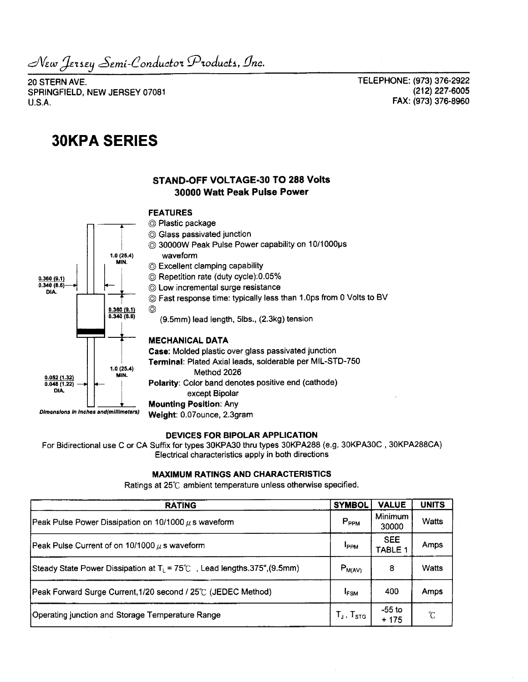*^£.m.i-dondu(itoi ^Product\*., Dnc.*

20 STERN AVE. SPRINGFIELD, NEW JERSEY 07081 U.S.A.

TELEPHONE: (973) 376-2922 (212)227-6005 FAX: (973) 376-8960

# **30KPA SERIES**

## **STAND-OFF VOLTAGE-30 TO 288 Volts 30000 Watt Peak Pulse Power**

#### **FEATURES**

©

- © Plastic package
- © Glass passivated junction
- © 30000W Peak Pulse Power capability on 10/1000us waveform
- © Excellent clamping capability
- © Repetition rate (duty cycle):0.05%
- © Low incremental surge resistance
- © Fast response time: typically less than 1 .Ops from 0 Volts to BV
	-

(9.5mm) lead length, 5lbs., (2.3kg) tension

### **MECHANICAL DATA**

**Case:** Molded plastic over glass passivated junction **Terminal:** Plated Axial leads, solderable per MIL-STD-750 Method 2026 **Polarity:** Color band denotes positive end (cathode) except Bipolar **Mounting Position: Any**

#### **DEVICES FOR BIPOLAR APPLICATION**

For Bidirectional use C or CA Suffix for types 30KPA30 thru types 30KPA288 (e.g. 30KPA30C , 30KPA288CA) Electrical characteristics apply in both directions

## **MAXIMUM RATINGS AND CHARACTERISTICS**

Ratings at 25°C ambient temperature unless otherwise specified.

| <b>RATING</b>                                                              | <b>SYMBOL</b>     | <b>VALUE</b>          | <b>UNITS</b> |
|----------------------------------------------------------------------------|-------------------|-----------------------|--------------|
| Peak Pulse Power Dissipation on 10/1000 $\mu$ s waveform                   | $P_{PPM}$         | Minimum<br>30000      | <b>Watts</b> |
| Peak Pulse Current of on 10/1000 $\mu$ s waveform                          | I <sub>PPM</sub>  | <b>SEE</b><br>TABLE 1 | Amps         |
| Steady State Power Dissipation at $T_L$ = 75°C, Lead lengths.375", (9.5mm) | $P_{M(AV)}$       | 8                     | Watts        |
| Peak Forward Surge Current, 1/20 second / 25°C (JEDEC Method)              | <b>IFSM</b>       | 400                   | Amps         |
| Operating junction and Storage Temperature Range                           | $T_J$ , $T_{STG}$ | $-55$ to<br>$+175$    | $^{\circ}C$  |

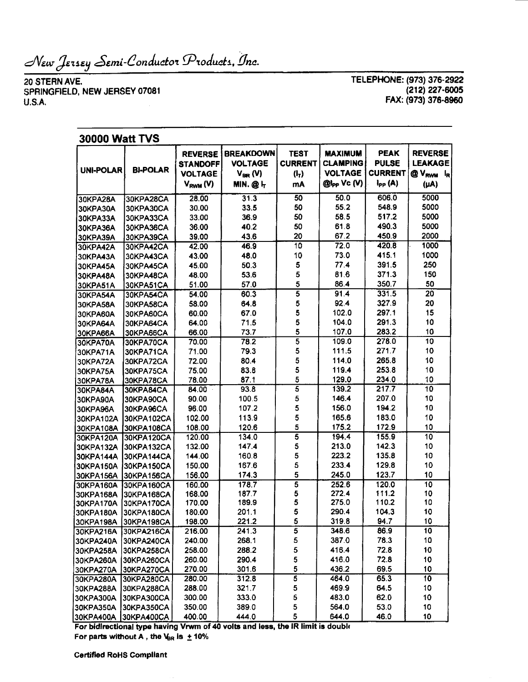New Jersey Semi-Conductor Products, Inc.

20 STERN AVE SPRINGFIELD, NEW JERSEY 07081 U.S.A.

**TELEPHONE: (973) 376-2922** (212) 227-6005 **FAX: (973) 376-8960**

| <b>30000 Watt TVS</b>  |                          |                                                                      |                                                                     |                                                |                                                                           |                                                              |                                                                                                  |  |  |  |
|------------------------|--------------------------|----------------------------------------------------------------------|---------------------------------------------------------------------|------------------------------------------------|---------------------------------------------------------------------------|--------------------------------------------------------------|--------------------------------------------------------------------------------------------------|--|--|--|
| <b>UNI-POLAR</b>       | <b>BI-POLAR</b>          | <b>REVERSE</b><br><b>STANDOFF</b><br><b>VOLTAGE</b><br>$V_{RWM} (V)$ | <b>BREAKDOWN</b><br><b>VOLTAGE</b><br>$V_{BR} (V)$<br><b>MIN.@h</b> | <b>TEST</b><br><b>CURRENT</b><br>$(I_T)$<br>mA | <b>MAXIMUM</b><br><b>CLAMPING</b><br><b>VOLTAGE</b><br>$@l_{PP}$ Vc $(V)$ | <b>PEAK</b><br><b>PULSE</b><br><b>CURRENT</b><br>$I_{PP}(A)$ | <b>REVERSE</b><br><b>LEAKAGE</b><br>@ V <sub>RWM</sub><br>$\mathbf{I}_{\mathbf{R}}$<br>$(\mu A)$ |  |  |  |
| 30KPA28A               | 30KPA28CA                | 28.00                                                                | 31.3                                                                | 50                                             | 50.0                                                                      | 606.0                                                        | 5000                                                                                             |  |  |  |
| <b>30KPA30A</b>        | 30KPA30CA                | 30.00                                                                | 33.5                                                                | 50                                             | 55.2                                                                      | 548.9                                                        | 5000                                                                                             |  |  |  |
| 30KPA33A               | 30KPA33CA                | 33.00                                                                | 36.9                                                                | 50                                             | 58.5                                                                      | 517.2                                                        | 5000                                                                                             |  |  |  |
| <b>30KPA36A</b>        | 30KPA36CA                | 36.00                                                                | 40.2                                                                | 50                                             | 61.8                                                                      | 490.3                                                        | 5000                                                                                             |  |  |  |
| <b>30KPA39A</b>        | 30KPA39CA                | 39.00                                                                | 43.6                                                                | 20                                             | 67.2                                                                      | 450.9                                                        | 2000                                                                                             |  |  |  |
| <b>30KPA42A</b>        | 30KPA42CA                | 42.00                                                                | 46.9                                                                | 10                                             | 72.0                                                                      | 420.8                                                        | 1000                                                                                             |  |  |  |
| 30KPA43A               | <b>30KPA43CA</b>         | 43.00                                                                | 48.0                                                                | 10                                             | 73.0                                                                      | 415.1                                                        | 1000                                                                                             |  |  |  |
| 30KPA45A               | 30KPA45CA                | 45.00                                                                | 50.3                                                                | 5                                              | 77.4                                                                      | 391.5                                                        | 250                                                                                              |  |  |  |
| <b>30KPA48A</b>        | 30KPA48CA                | 48.00                                                                | 53.6                                                                | 5                                              | 81.6                                                                      | 371.3                                                        | 150                                                                                              |  |  |  |
| 30KPA51A               | 30KPA51CA                | 51.00                                                                | 57.0                                                                | 5                                              | 86.4                                                                      | 350.7                                                        | 50                                                                                               |  |  |  |
| 30KPA54A               | 30KPA54CA                | 54.00                                                                | 60.3                                                                | $\overline{5}$                                 | 91.4                                                                      | 331.5                                                        | 20                                                                                               |  |  |  |
| 30KPA58A               | 30KPA58CA                | 58.00                                                                | 64.8                                                                | 5                                              | 92.4                                                                      | 327.9                                                        | 20                                                                                               |  |  |  |
| 30KPA60A               | <b>30KPA60CA</b>         | 60.00                                                                | 67.0                                                                | 5                                              | 102.0                                                                     | 297.1                                                        | 15                                                                                               |  |  |  |
| 30KPA64A               | 30KPA64CA                | 64.00                                                                | 71.5                                                                | 5                                              | 104.0                                                                     | 291.3                                                        | 10                                                                                               |  |  |  |
| 30KPA66A               | 30KPA66CA                | 66.00                                                                | 73.7                                                                | 5                                              | 107.0                                                                     | 283.2                                                        | 10                                                                                               |  |  |  |
| 30KPA70A               | 30KPA70CA                | 70.00                                                                | 78.2                                                                | 5                                              | 109.0                                                                     | 278.0                                                        | 10                                                                                               |  |  |  |
| 30KPA71A               | 30KPA71CA                | 71.00                                                                | 79.3                                                                | 5                                              | 111.5                                                                     | 271.7                                                        | 10                                                                                               |  |  |  |
| 30KPA72A               | 30KPA72CA                | 72.00                                                                | 80.4                                                                | 5                                              | 114.0                                                                     | 265.8                                                        | 10                                                                                               |  |  |  |
| 30KPA75A               | 30KPA75CA                | 75.00                                                                | 83.8                                                                | 5                                              | 119.4                                                                     | 253.8                                                        | 10                                                                                               |  |  |  |
| <b>30KPA78A</b>        | <b>30KPA78CA</b>         | 78.00                                                                | 87.1                                                                | 5                                              | 129.0                                                                     | 234.0                                                        | 10                                                                                               |  |  |  |
| 30KPA84A               | 30KPA84CA                | 84.00                                                                | 93.8                                                                | $\overline{\mathbf{5}}$                        | 139.2                                                                     | 217.7                                                        | 10                                                                                               |  |  |  |
| 30KPA90A               | 30KPA90CA                | 90.00                                                                | 100.5                                                               | 5                                              | 146.4                                                                     | 207.0                                                        | 10                                                                                               |  |  |  |
| <b>30KPA96A</b>        | 30KPA96CA                | 96.00                                                                | 107.2                                                               | 5                                              | 156.0                                                                     | 194.2                                                        | 10                                                                                               |  |  |  |
| 30KPA102A              | 30KPA102CA               | 102.00                                                               | 113.9                                                               | 5                                              | 165.6                                                                     | 183.0                                                        | 10                                                                                               |  |  |  |
| 30KPA108A              | 30KPA108CA               | 108.00                                                               | 120.6                                                               | 5                                              | 175.2                                                                     | 172.9                                                        | 10                                                                                               |  |  |  |
| 30KPA120A              | 30KPA120CA               | 120.00                                                               | 134.0                                                               | 5                                              | 194.4                                                                     | 155.9                                                        | $\overline{10}$                                                                                  |  |  |  |
| 30KPA132A              | 30KPA132CA               | 132.00                                                               | 147.4                                                               | 5                                              | 213.0                                                                     | 142.3                                                        | 10                                                                                               |  |  |  |
| 30KPA144A              | 30KPA144CA               | 144.00                                                               | 160.8                                                               | 5                                              | 223.2                                                                     | 135.8                                                        | 10                                                                                               |  |  |  |
| 30KPA150A              | 30KPA150CA               | 150.00                                                               | 167.6                                                               | 5                                              | 233.4                                                                     | 129.8                                                        | 10                                                                                               |  |  |  |
| 30KPA156A              | 30KPA156CA               | 156.00                                                               | 174.3                                                               | 5                                              | 245.0                                                                     | 123.7                                                        | 10                                                                                               |  |  |  |
| 30KPA160A              | 30KPA160CA               | 160.00                                                               | 178.7                                                               | $\overline{\mathbf{5}}$                        | 252.6                                                                     | 120.0                                                        | 10                                                                                               |  |  |  |
| 30KPA168A              | 30KPA168CA               | 168.00                                                               | 187.7                                                               | 5                                              | 272.4                                                                     | 111.2                                                        | 10                                                                                               |  |  |  |
| 30KPA170A              | 30KPA170CA               | 170.00                                                               | 189.9                                                               | 5<br>5                                         | 275.0                                                                     | 110.2                                                        | 10                                                                                               |  |  |  |
| 30KPA180A              | 30KPA180CA               | 180.00                                                               | 201.1                                                               |                                                | 290.4                                                                     | 104.3                                                        | 10                                                                                               |  |  |  |
| 30KPA198A              | 30KPA198CA               | 198.00                                                               | 221.2<br>241.3                                                      | b<br>$\overline{\mathbf{5}}$                   | 319.8<br>348.6                                                            | 94.7<br>86.9                                                 | 10<br>10                                                                                         |  |  |  |
| 30KPA216A              | 30KPA216CA               | 216.00                                                               | 268.1                                                               | 5                                              | 387.0                                                                     | 78.3                                                         | 10                                                                                               |  |  |  |
| 30KPA240A              | 30KPA240CA               | 240.00                                                               | 288.2                                                               |                                                |                                                                           |                                                              |                                                                                                  |  |  |  |
| 30KPA258A              | 30KPA258CA               | 258.00                                                               | 290.4                                                               | 5                                              | 416.4<br>416.0                                                            | 72.8<br>72.8                                                 | 10                                                                                               |  |  |  |
| 30KPA260A<br>30KPA270A | 30KPA260CA               | 260.00<br>270.00                                                     | 301.6                                                               | 5<br>5                                         | 436.2                                                                     | 69.5                                                         | 10<br>10                                                                                         |  |  |  |
|                        | 30KPA270CA               | 280.00                                                               |                                                                     | $\overline{\mathbf{5}}$                        | 464.0                                                                     | 65.3                                                         | 10                                                                                               |  |  |  |
| 30KPA280A              | 30KPA280CA               | 288.00                                                               | 312.8<br>321.7                                                      | 5                                              | 469.9                                                                     | 64.5                                                         | 10                                                                                               |  |  |  |
| 30KPA288A<br>30KPA300A | 30KPA288CA<br>30KPA300CA | 300.00                                                               | 333.0                                                               | 5                                              | 483.0                                                                     | 62.0                                                         | 10                                                                                               |  |  |  |
| <b>30KPA350A</b>       | 30KPA350CA               | 350.00                                                               | 389.0                                                               | 5                                              | 564.0                                                                     | 53.0                                                         | 10                                                                                               |  |  |  |
| 30KPA400A              | 30KPA400CA               | 400.00                                                               | 444.0                                                               | 5                                              | 644.0                                                                     | 46.0                                                         | 10                                                                                               |  |  |  |
|                        |                          |                                                                      |                                                                     |                                                |                                                                           |                                                              |                                                                                                  |  |  |  |

**For bidirectional type having Vrwm of 40 volts and less, the IR limit is double**

**For parts without A , the N&R is ± 10%**